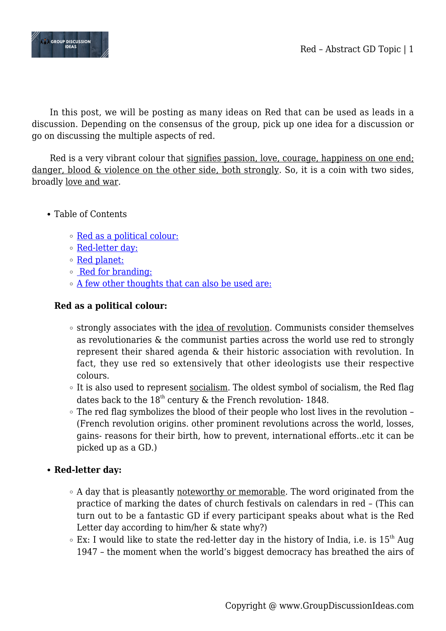

In this post, we will be posting as many ideas on Red that can be used as leads in a discussion. Depending on the consensus of the group, pick up one idea for a discussion or go on discussing the multiple aspects of red.

Red is a very vibrant colour that signifies passion, love, courage, happiness on one end; danger, blood & violence on the other side, both strongly. So, it is a coin with two sides, broadly love and war.

- Table of Contents
	- [Red as a political colour:](#page--1-0)
	- [Red-letter day:](#page--1-0)
	- [Red planet:](#page--1-0)
	- [Red for branding:](#page--1-0)
	- [A few other thoughts that can also be used are:](#page--1-0)

### **Red as a political colour:**

- $\circ$  strongly associates with the idea of revolution. Communists consider themselves as revolutionaries & the communist parties across the world use red to strongly represent their shared agenda & their historic association with revolution. In fact, they use red so extensively that other ideologists use their respective colours.
- $\circ$  It is also used to represent <u>socialism</u>. The oldest symbol of socialism, the Red flag dates back to the  $18^{th}$  century & the French revolution- 1848.
- The red flag symbolizes the blood of their people who lost lives in the revolution (French revolution origins. other prominent revolutions across the world, losses, gains- reasons for their birth, how to prevent, international efforts..etc it can be picked up as a GD.)

# **Red-letter day:**

- $\circ$  A day that is pleasantly noteworthy or memorable. The word originated from the practice of marking the dates of church festivals on calendars in red – (This can turn out to be a fantastic GD if every participant speaks about what is the Red Letter day according to him/her & state why?)
- $\circ$  Ex: I would like to state the red-letter day in the history of India, i.e. is 15<sup>th</sup> Aug 1947 – the moment when the world's biggest democracy has breathed the airs of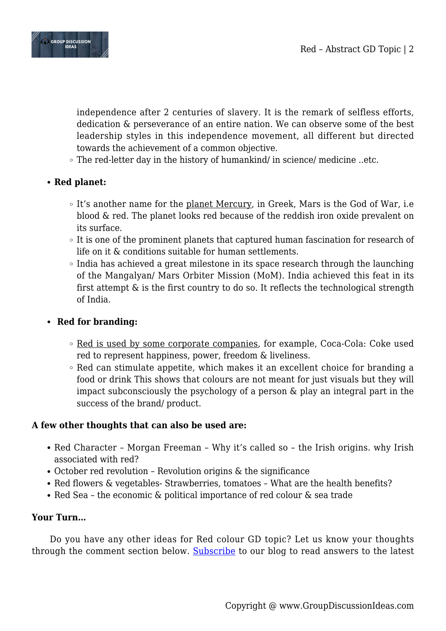

independence after 2 centuries of slavery. It is the remark of selfless efforts, dedication & perseverance of an entire nation. We can observe some of the best leadership styles in this independence movement, all different but directed towards the achievement of a common objective.

The red-letter day in the history of humankind/ in science/ medicine ..etc.

## **Red planet:**

- It's another name for the planet Mercury, in Greek, Mars is the God of War, i.e blood & red. The planet looks red because of the reddish iron oxide prevalent on its surface.
- $\circ$  It is one of the prominent planets that captured human fascination for research of life on it & conditions suitable for human settlements.
- $\circ$  India has achieved a great milestone in its space research through the launching of the Mangalyan/ Mars Orbiter Mission (MoM). India achieved this feat in its first attempt & is the first country to do so. It reflects the technological strength of India.

### **Red for branding:**

- Red is used by some corporate companies, for example, Coca-Cola: Coke used red to represent happiness, power, freedom & liveliness.
- $\circ$  Red can stimulate appetite, which makes it an excellent choice for branding a food or drink This shows that colours are not meant for just visuals but they will impact subconsciously the psychology of a person & play an integral part in the success of the brand/ product.

### **A few other thoughts that can also be used are:**

- Red Character Morgan Freeman Why it's called so the Irish origins. why Irish associated with red?
- October red revolution Revolution origins & the significance
- Red flowers & vegetables- Strawberries, tomatoes What are the health benefits?
- Red Sea the economic & political importance of red colour & sea trade

### **Your Turn…**

Do you have any other ideas for Red colour GD topic? Let us know your thoughts through the comment section below. [Subscribe](https://www.groupdiscussionideas.com/subscribe/) to our blog to read answers to the latest